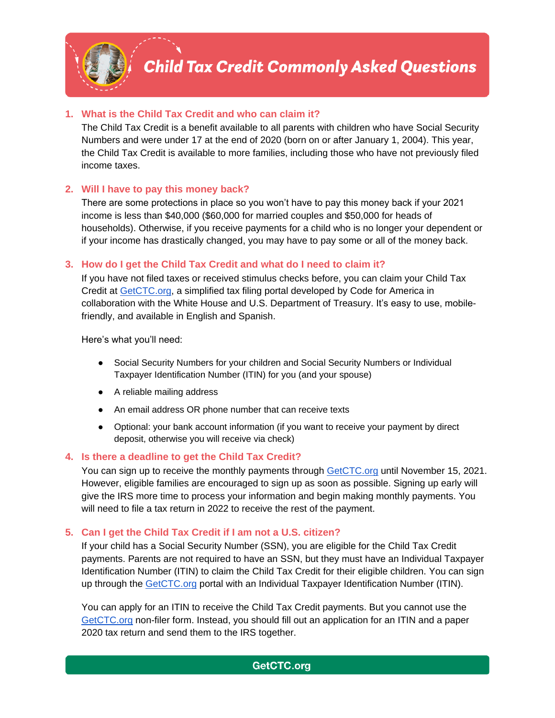

## **1. What is the Child Tax Credit and who can claim it?**

The Child Tax Credit is a benefit available to all parents with children who have Social Security Numbers and were under 17 at the end of 2020 (born on or after January 1, 2004). This year, the Child Tax Credit is available to more families, including those who have not previously filed income taxes.

### **2. Will I have to pay this money back?**

There are some protections in place so you won't have to pay this money back if your 2021 income is less than \$40,000 (\$60,000 for married couples and \$50,000 for heads of households). Otherwise, if you receive payments for a child who is no longer your dependent or if your income has drastically changed, you may have to pay some or all of the money back.

### **3. How do I get the Child Tax Credit and what do I need to claim it?**

If you have not filed taxes or received stimulus checks before, you can claim your Child Tax Credit at [GetCTC.org,](https://www.getctc.org/en) a simplified tax filing portal developed by Code for America in collaboration with the White House and U.S. Department of Treasury. It's easy to use, mobilefriendly, and available in English and Spanish.

Here's what you'll need:

- Social Security Numbers for your children and Social Security Numbers or Individual Taxpayer Identification Number (ITIN) for you (and your spouse)
- A reliable mailing address
- An email address OR phone number that can receive texts
- Optional: your bank account information (if you want to receive your payment by direct deposit, otherwise you will receive via check)

### **4. Is there a deadline to get the Child Tax Credit?**

You can sign up to receive the monthly payments through [GetCTC.org](https://www.getctc.org/en) until November 15, 2021. However, eligible families are encouraged to sign up as soon as possible. Signing up early will give the IRS more time to process your information and begin making monthly payments. You will need to file a tax return in 2022 to receive the rest of the payment.

### **5. Can I get the Child Tax Credit if I am not a U.S. citizen?**

If your child has a Social Security Number (SSN), you are eligible for the Child Tax Credit payments. Parents are not required to have an SSN, but they must have an Individual Taxpayer Identification Number (ITIN) to claim the Child Tax Credit for their eligible children. You can sign up through the [GetCTC.org](https://www.getctc.org/en) portal with an Individual Taxpayer Identification Number (ITIN).

You can apply for an ITIN to receive the Child Tax Credit payments. But you cannot use the [GetCTC.org](https://www.getctc.org/en) non-filer form. Instead, you should fill out an application for an ITIN and a paper 2020 tax return and send them to the IRS together.